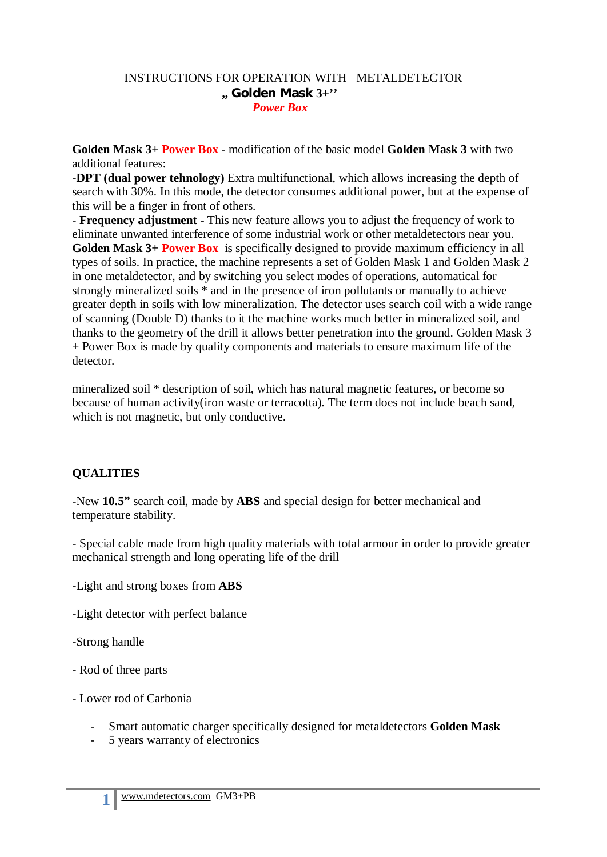#### INSTRUCTIONS FOR OPERATION WITH METALDETECTOR **,, Golden Mask 3**+**''** *Power Box*

**Golden Mask 3+ Power Box** - modification of the basic model **Golden Mask 3** with two additional features:

-**DPT (dual power tehnology)** Extra multifunctional, which allows increasing the depth of search with 30%. In this mode, the detector consumes additional power, but at the expense of this will be a finger in front of others.

- **Frequency adjustment -** This new feature allows you to adjust the frequency of work to eliminate unwanted interference of some industrial work or other metaldetectors near you. **Golden Mask 3+ Power Box** is specifically designed to provide maximum efficiency in all types of soils. In practice, the machine represents a set of Golden Mask 1 and Golden Mask 2 in one metaldetector, and by switching you select modes of operations, automatical for strongly mineralized soils \* and in the presence of iron pollutants or manually to achieve greater depth in soils with low mineralization. The detector uses search coil with a wide range of scanning (Double D) thanks to it the machine works much better in mineralized soil, and thanks to the geometry of the drill it allows better penetration into the ground. Golden Mask 3 + Power Box is made by quality components and materials to ensure maximum life of the detector.

mineralized soil \* description of soil, which has natural magnetic features, or become so because of human activity(iron waste or terracotta). The term does not include beach sand, which is not magnetic, but only conductive.

### **QUALITIES**

-New **10.5"** search coil, made by **ABS** and special design for better mechanical and temperature stability.

- Special cable made from high quality materials with total armour in order to provide greater mechanical strength and long operating life of the drill

-Light and strong boxes from **ABS**

-Light detector with perfect balance

-Strong handle

- Rod of three parts
- Lower rod of Carbonia
	- Smart automatic charger specifically designed for metaldetectors **Golden Mask**
	- 5 years warranty of electronics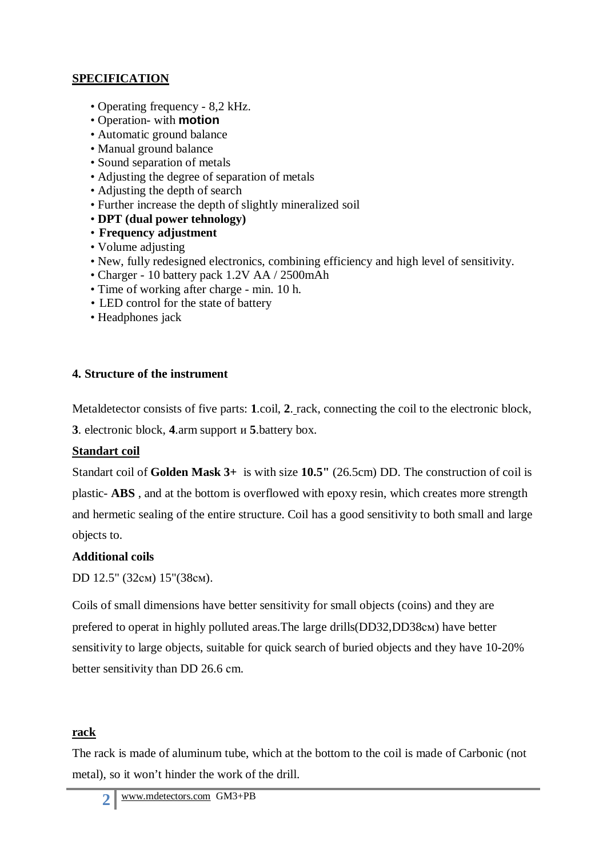### **SPECIFICATION**

- Operating frequency 8,2 kHz.
- Operation- with **motion**
- Automatic ground balance
- Manual ground balance
- Sound separation of metals
- Adjusting the degree of separation of metals
- Adjusting the depth of search
- Further increase the depth of slightly mineralized soil
- **DPT (dual power tehnology)**
- **Frequency adjustment**
- Volume adjusting
- New, fully redesigned electronics, combining efficiency and high level of sensitivity.
- Charger 10 battery pack 1.2V AA / 2500mAh
- Time of working after charge min. 10 h.
- LED control for the state of battery
- Headphones jack

### **4. Structure of the instrument**

Metaldetector consists of five parts: **1**.coil, **2**. rack, connecting the coil to the electronic block,

**3**. electronic block, **4**.arm support и **5**.battery box.

# **Standart coil**

Standart coil of **Golden Mask 3+** is with size **10.5"** (26.5cm) DD. The construction of coil is plastic- **ABS** , and at the bottom is overflowed with epoxy resin, which creates more strength and hermetic sealing of the entire structure. Coil has a good sensitivity to both small and large objects to.

# **Additional coils**

DD 12.5" (32см) 15"(38см).

Coils of small dimensions have better sensitivity for small objects (coins) and they are prefered to operat in highly polluted areas.The large drills(DD32,DD38см) have better sensitivity to large objects, suitable for quick search of buried objects and they have 10-20% better sensitivity than DD 26.6 сm.

# **rack**

The rack is made of aluminum tube, which at the bottom to the coil is made of Carbonic (not metal), so it won't hinder the work of the drill.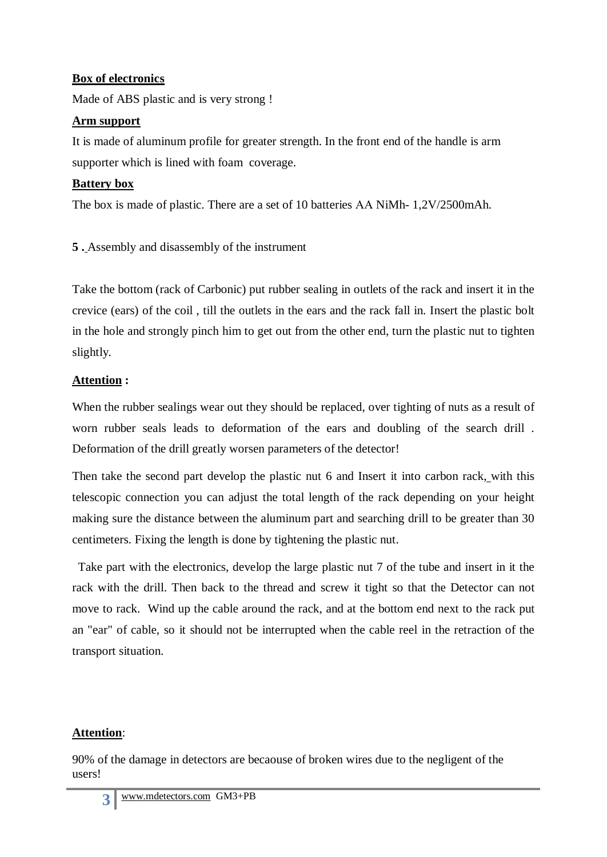### **Box of electronics**

Made of ABS plastic and is very strong !

#### **Arm support**

It is made of aluminum profile for greater strength. In the front end of the handle is arm supporter which is lined with foam coverage.

#### **Battery box**

The box is made of plastic. There are a set of 10 batteries AA NiMh- 1,2V/2500mAh.

**5 .** Assembly and disassembly of the instrument

Take the bottom (rack of Carbonic) put rubber sealing in outlets of the rack and insert it in the crevice (ears) of the coil , till the outlets in the ears and the rack fall in. Insert the plastic bolt in the hole and strongly pinch him to get out from the other end, turn the plastic nut to tighten slightly.

### **Attention :**

When the rubber sealings wear out they should be replaced, over tighting of nuts as a result of worn rubber seals leads to deformation of the ears and doubling of the search drill . Deformation of the drill greatly worsen parameters of the detector!

Then take the second part develop the plastic nut 6 and Insert it into carbon rack, with this telescopic connection you can adjust the total length of the rack depending on your height making sure the distance between the aluminum part and searching drill to be greater than 30 centimeters. Fixing the length is done by tightening the plastic nut.

 Take part with the electronics, develop the large plastic nut 7 of the tube and insert in it the rack with the drill. Then back to the thread and screw it tight so that the Detector can not move to rack. Wind up the cable around the rack, and at the bottom end next to the rack put an "ear" of cable, so it should not be interrupted when the cable reel in the retraction of the transport situation.

# **Attention**:

90% of the damage in detectors are becaouse of broken wires due to the negligent of the users!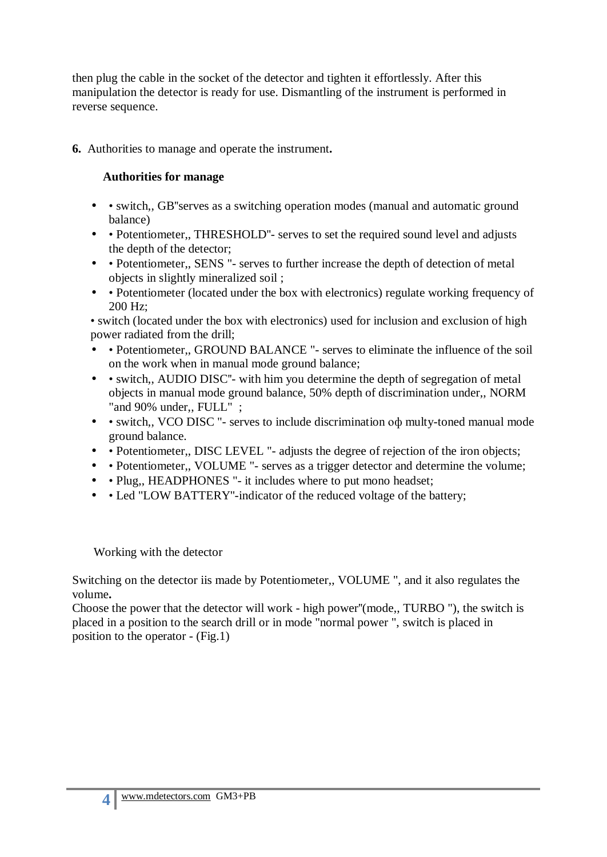then plug the cable in the socket of the detector and tighten it effortlessly. After this manipulation the detector is ready for use. Dismantling of the instrument is performed in reverse sequence.

**6.** Authorities to manage and operate the instrument**.** 

#### **Authorities for manage**

- • switch,, GB''serves as a switching operation modes (manual and automatic ground balance)
- • Potentiometer,, THRESHOLD"- serves to set the required sound level and adjusts the depth of the detector;
- • Potentiometer,, SENS "- serves to further increase the depth of detection of metal objects in slightly mineralized soil ;
- • Potentiometer (located under the box with electronics) regulate working frequency of 200 Hz;

• switch (located under the box with electronics) used for inclusion and exclusion of high power radiated from the drill;

- • Potentiometer,, GROUND BALANCE "- serves to eliminate the influence of the soil on the work when in manual mode ground balance;
- • switch,, AUDIO DISC"- with him you determine the depth of segregation of metal objects in manual mode ground balance, 50% depth of discrimination under,, NORM "and 90% under,, FULL" ;
- • switch,, VCO DISC "- serves to include discrimination o $\phi$  multy-toned manual mode ground balance.
- • Potentiometer,, DISC LEVEL "- adjusts the degree of rejection of the iron objects;
- • Potentiometer,, VOLUME "- serves as a trigger detector and determine the volume;
- • Plug,, HEADPHONES "- it includes where to put mono headset;
- • Led "LOW BATTERY"-indicator of the reduced voltage of the battery;

Working with the detector

Switching on the detector iis made by Potentiometer,, VOLUME ", and it also regulates the volume**.** 

Choose the power that the detector will work - high power''(mode,, TURBO "), the switch is placed in a position to the search drill or in mode "normal power ", switch is placed in position to the operator - (Fig.1)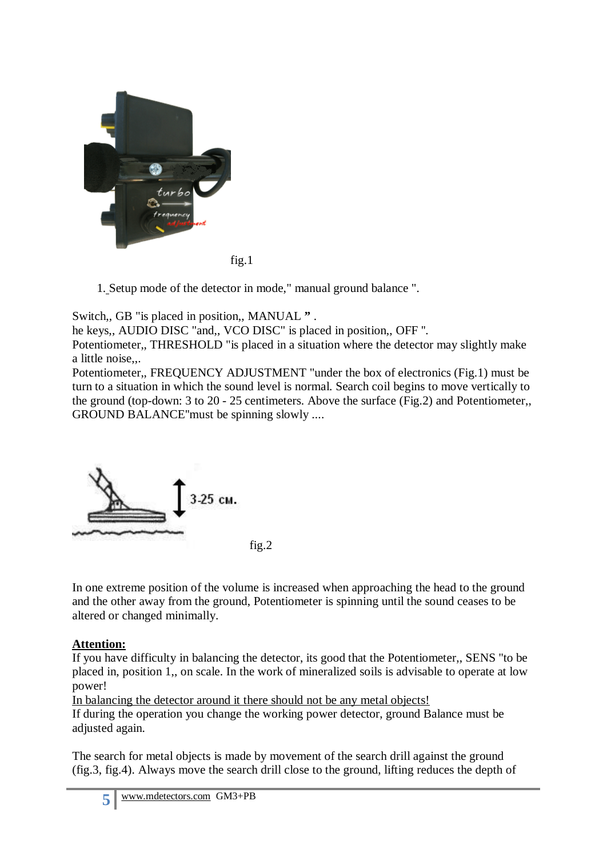

fig.1

1. Setup mode of the detector in mode," manual ground balance ".

Switch,, GB "is placed in position,, MANUAL **"** .

he keys,, AUDIO DISC "and,, VCO DISC" is placed in position,, OFF ''.

Potentiometer,, THRESHOLD "is placed in a situation where the detector may slightly make a little noise,,.

Potentiometer,, FREQUENCY ADJUSTMENT "under the box of electronics (Fig.1) must be turn to a situation in which the sound level is normal. Search coil begins to move vertically to the ground (top-down: 3 to 20 - 25 centimeters. Above the surface (Fig.2) and Potentiometer,, GROUND BALANCE''must be spinning slowly ....



In one extreme position of the volume is increased when approaching the head to the ground and the other away from the ground, Potentiometer is spinning until the sound ceases to be altered or changed minimally.

### **Attention:**

If you have difficulty in balancing the detector, its good that the Potentiometer,, SENS "to be placed in, position 1,, on scale. In the work of mineralized soils is advisable to operate at low power!

In balancing the detector around it there should not be any metal objects!

If during the operation you change the working power detector, ground Balance must be adjusted again.

The search for metal objects is made by movement of the search drill against the ground (fig.3, fig.4). Always move the search drill close to the ground, lifting reduces the depth of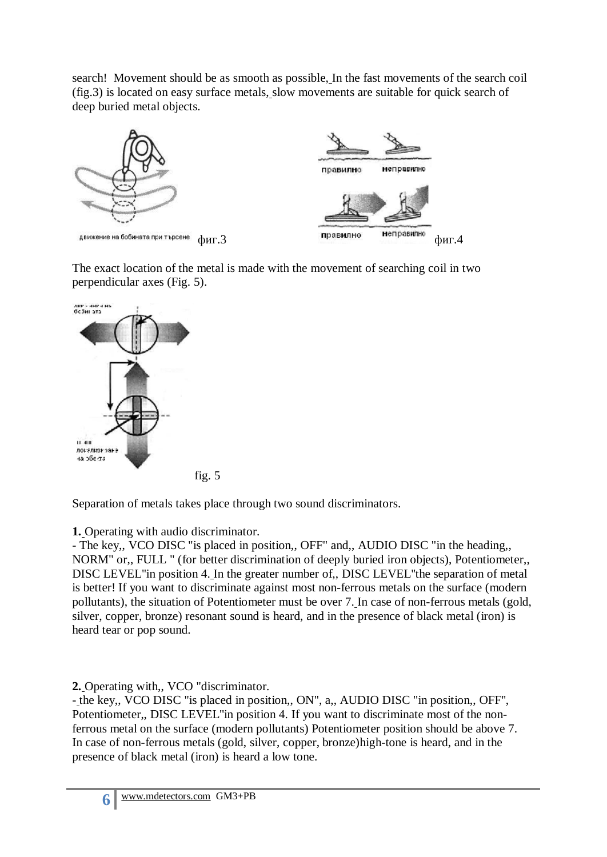search! Movement should be as smooth as possible, In the fast movements of the search coil (fig.3) is located on easy surface metals, slow movements are suitable for quick search of deep buried metal objects.



The exact location of the metal is made with the movement of searching coil in two perpendicular axes (Fig. 5).



Separation of metals takes place through two sound discriminators.

**1.** Operating with audio discriminator.

- The key,, VCO DISC "is placed in position,, OFF" and,, AUDIO DISC "in the heading,, NORM" or,, FULL " (for better discrimination of deeply buried iron objects), Potentiometer,, DISC LEVEL''in position 4. In the greater number of,, DISC LEVEL''the separation of metal is better! If you want to discriminate against most non-ferrous metals on the surface (modern pollutants), the situation of Potentiometer must be over 7. In case of non-ferrous metals (gold, silver, copper, bronze) resonant sound is heard, and in the presence of black metal (iron) is heard tear or pop sound.

**2.** Operating with,, VCO "discriminator.

- the key,, VCO DISC "is placed in position,, ON", a,, AUDIO DISC "in position,, OFF'', Potentiometer,, DISC LEVEL''in position 4. If you want to discriminate most of the nonferrous metal on the surface (modern pollutants) Potentiometer position should be above 7. In case of non-ferrous metals (gold, silver, copper, bronze)high-tone is heard, and in the presence of black metal (iron) is heard a low tone.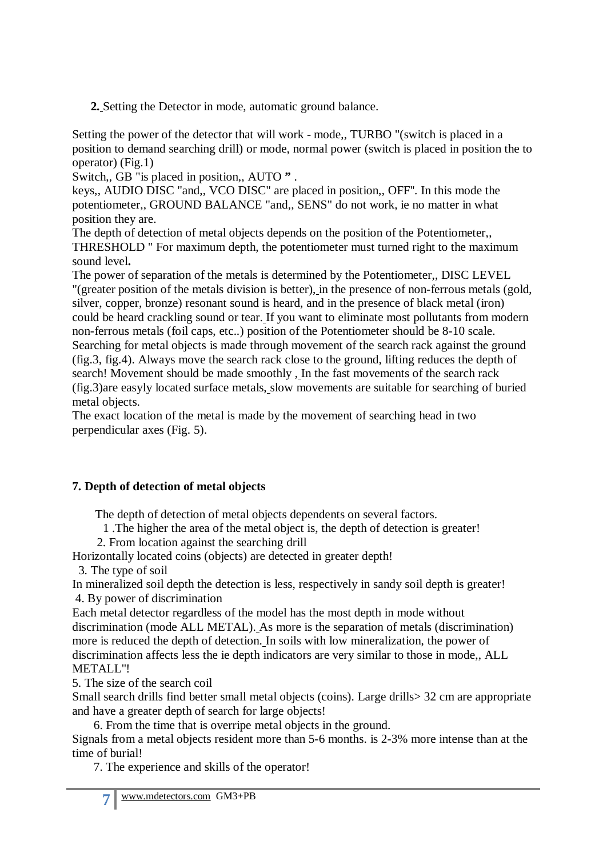**2.** Setting the Detector in mode, automatic ground balance.

Setting the power of the detector that will work - mode,, TURBO "(switch is placed in a position to demand searching drill) or mode, normal power (switch is placed in position the to operator) (Fig.1)

Switch,, GB "is placed in position,, AUTO **"** .

keys,, AUDIO DISC "and,, VCO DISC" are placed in position,, OFF''. In this mode the potentiometer,, GROUND BALANCE "and,, SENS" do not work, ie no matter in what position they are.

The depth of detection of metal objects depends on the position of the Potentiometer,, THRESHOLD " For maximum depth, the potentiometer must turned right to the maximum sound level**.** 

The power of separation of the metals is determined by the Potentiometer,, DISC LEVEL "(greater position of the metals division is better), in the presence of non-ferrous metals (gold, silver, copper, bronze) resonant sound is heard, and in the presence of black metal (iron) could be heard crackling sound or tear. If you want to eliminate most pollutants from modern non-ferrous metals (foil caps, etc..) position of the Potentiometer should be 8-10 scale. Searching for metal objects is made through movement of the search rack against the ground (fig.3, fig.4). Always move the search rack close to the ground, lifting reduces the depth of search! Movement should be made smoothly , In the fast movements of the search rack (fig.3)are easyly located surface metals, slow movements are suitable for searching of buried metal objects.

The exact location of the metal is made by the movement of searching head in two perpendicular axes (Fig. 5).

# **7. Depth of detection of metal objects**

The depth of detection of metal objects dependents on several factors.

1 .The higher the area of the metal object is, the depth of detection is greater!

2. From location against the searching drill

Horizontally located coins (objects) are detected in greater depth!

3. The type of soil

In mineralized soil depth the detection is less, respectively in sandy soil depth is greater! 4. By power of discrimination

Each metal detector regardless of the model has the most depth in mode without discrimination (mode ALL METAL). As more is the separation of metals (discrimination) more is reduced the depth of detection. In soils with low mineralization, the power of discrimination affects less the ie depth indicators are very similar to those in mode,, ALL METALL''!

5. The size of the search coil

Small search drills find better small metal objects (coins). Large drills> 32 cm are appropriate and have a greater depth of search for large objects!

6. From the time that is overripe metal objects in the ground.

Signals from a metal objects resident more than 5-6 months. is 2-3% more intense than at the time of burial!

7. The experience and skills of the operator!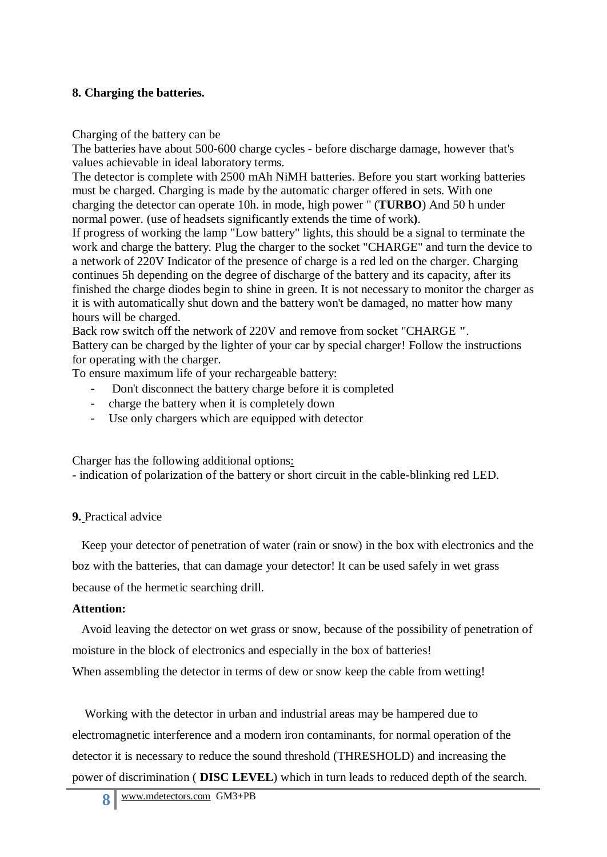### **8. Charging the batteries.**

Charging of the battery can be

The batteries have about 500-600 charge cycles - before discharge damage, however that's values achievable in ideal laboratory terms.

The detector is complete with 2500 mAh NiMH batteries. Before you start working batteries must be charged. Charging is made by the automatic charger offered in sets. With one charging the detector can operate 10h. in mode, high power " (**TURBO**) And 50 h under normal power. (use of headsets significantly extends the time of work**)**.

If progress of working the lamp "Low battery" lights, this should be a signal to terminate the work and charge the battery. Plug the charger to the socket "CHARGE" and turn the device to a network of 220V Indicator of the presence of charge is a red led on the charger. Charging continues 5h depending on the degree of discharge of the battery and its capacity, after its finished the charge diodes begin to shine in green. It is not necessary to monitor the charger as it is with automatically shut down and the battery won't be damaged, no matter how many hours will be charged.

Back row switch off the network of 220V and remove from socket "CHARGE **"**. Battery can be charged by the lighter of your car by special charger! Follow the instructions for operating with the charger.

To ensure maximum life of your rechargeable battery:

- Don't disconnect the battery charge before it is completed
- charge the battery when it is completely down
- Use only chargers which are equipped with detector

Charger has the following additional options:

- indication of polarization of the battery or short circuit in the cable-blinking red LED.

# **9.** Practical advice

Keep your detector of penetration of water (rain or snow) in the box with electronics and the boz with the batteries, that can damage your detector! It can be used safely in wet grass because of the hermetic searching drill.

### **Attention:**

Avoid leaving the detector on wet grass or snow, because of the possibility of penetration of moisture in the block of electronics and especially in the box of batteries!

When assembling the detector in terms of dew or snow keep the cable from wetting!

 Working with the detector in urban and industrial areas may be hampered due to electromagnetic interference and a modern iron contaminants, for normal operation of the detector it is necessary to reduce the sound threshold (THRESHOLD) and increasing the power of discrimination ( **DISC LEVEL**) which in turn leads to reduced depth of the search.